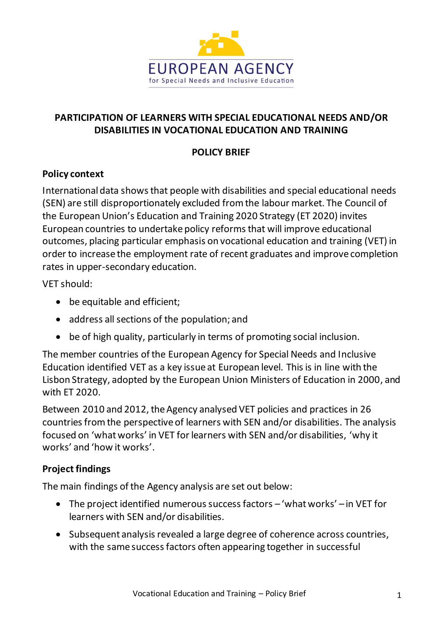

# **PARTICIPATION OF LEARNERS WITH SPECIAL EDUCATIONAL NEEDS AND/OR DISABILITIES IN VOCATIONAL EDUCATION AND TRAINING**

# **POLICY BRIEF**

## **Policy context**

International data shows that people with disabilities and special educational needs (SEN) are still disproportionately excluded from the labour market. The Council of the European Union's Education and Training 2020 Strategy (ET 2020) invites European countries to undertake policy reforms that will improve educational outcomes, placing particular emphasis on vocational education and training (VET) in order to increase the employment rate of recent graduates and improve completion rates in upper-secondary education.

VET should:

- be equitable and efficient;
- address all sections of the population; and
- be of high quality, particularly in terms of promoting social inclusion.

The member countries of the European Agency for Special Needs and Inclusive Education identified VET as a key issue at European level. This is in line with the Lisbon Strategy, adopted by the European Union Ministers of Education in 2000, and with ET 2020.

Between 2010 and 2012, the Agency analysed VET policies and practices in 26 countries from the perspective of learners with SEN and/or disabilities. The analysis focused on 'what works' in VET for learners with SEN and/or disabilities, 'why it works' and 'how it works'.

## **Project findings**

The main findings of the Agency analysis are set out below:

- The project identified numerous success factors 'what works' in VET for learners with SEN and/or disabilities.
- Subsequent analysis revealed a large degree of coherence across countries, with the same success factors often appearing together in successful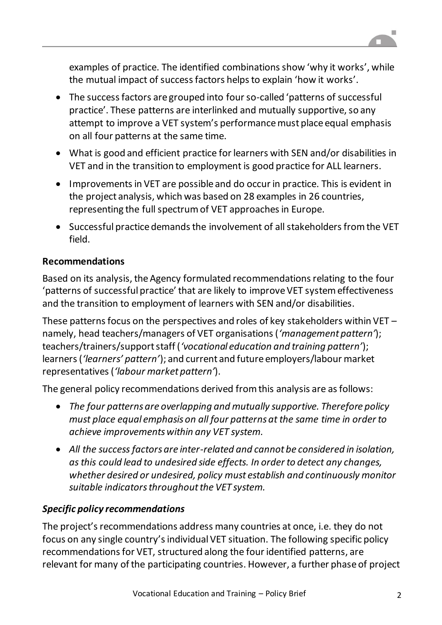

examples of practice. The identified combinations show 'why it works', while the mutual impact of success factors helps to explain 'how it works'.

- The success factors are grouped into four so-called 'patterns of successful practice'. These patterns are interlinked and mutually supportive, so any attempt to improve a VET system's performance must place equal emphasis on all four patterns at the same time.
- What is good and efficient practice for learners with SEN and/or disabilities in VET and in the transition to employment is good practice for ALL learners.
- Improvements in VET are possible and do occur in practice. This is evident in the project analysis, which was based on 28 examples in 26 countries, representing the full spectrum of VET approaches in Europe.
- Successful practice demands the involvement of all stakeholders from the VET field.

# **Recommendations**

Based on its analysis, the Agency formulated recommendations relating to the four 'patterns of successful practice' that are likely to improve VET system effectiveness and the transition to employment of learners with SEN and/or disabilities.

These patterns focus on the perspectives and roles of key stakeholders within VET – namely, head teachers/managers of VET organisations (*'management pattern'*); teachers/trainers/support staff (*'vocational education and training pattern'*); learners (*'learners' pattern'*); and current and future employers/labour market representatives (*'labour market pattern'*).

The general policy recommendations derived from this analysis are as follows:

- *The four patterns are overlapping and mutually supportive. Therefore policy must place equal emphasis on all four patterns at the same time in order to achieve improvements within any VET system.*
- *All the success factors are inter-related and cannot be considered in isolation, as this could lead to undesired side effects. In order to detect any changes, whether desired or undesired, policy must establish and continuously monitor suitable indicators throughout the VET system.*

# *Specific policy recommendations*

The project's recommendations address many countries at once, i.e. they do not focus on any single country's individual VET situation. The following specific policy recommendations for VET, structured along the four identified patterns, are relevant for many of the participating countries. However, a further phase of project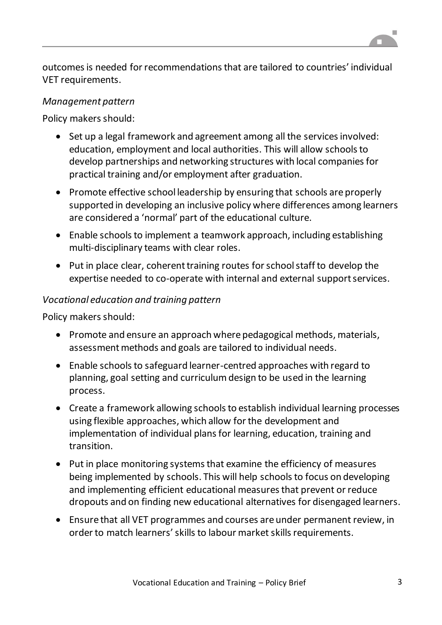outcomes is needed for recommendations that are tailored to countries' individual VET requirements.

#### *Management pattern*

Policy makers should:

- Set up a legal framework and agreement among all the services involved: education, employment and local authorities. This will allow schools to develop partnerships and networking structures with local companies for practical training and/or employment after graduation.
- Promote effective school leadership by ensuring that schools are properly supported in developing an inclusive policy where differences among learners are considered a 'normal' part of the educational culture.
- Enable schools to implement a teamwork approach, including establishing multi-disciplinary teams with clear roles.
- Put in place clear, coherent training routes for school staff to develop the expertise needed to co-operate with internal and external support services.

### *Vocational education and training pattern*

Policy makers should:

- Promote and ensure an approach where pedagogical methods, materials, assessment methods and goals are tailored to individual needs.
- Enable schools to safeguard learner-centred approaches with regard to planning, goal setting and curriculum design to be used in the learning process.
- Create a framework allowing schools to establish individual learning processes using flexible approaches, which allow for the development and implementation of individual plans for learning, education, training and transition.
- Put in place monitoring systems that examine the efficiency of measures being implemented by schools. This will help schools to focus on developing and implementing efficient educational measures that prevent or reduce dropouts and on finding new educational alternatives for disengaged learners.
- Ensure that all VET programmes and courses are under permanent review, in order to match learners' skills to labour market skills requirements.